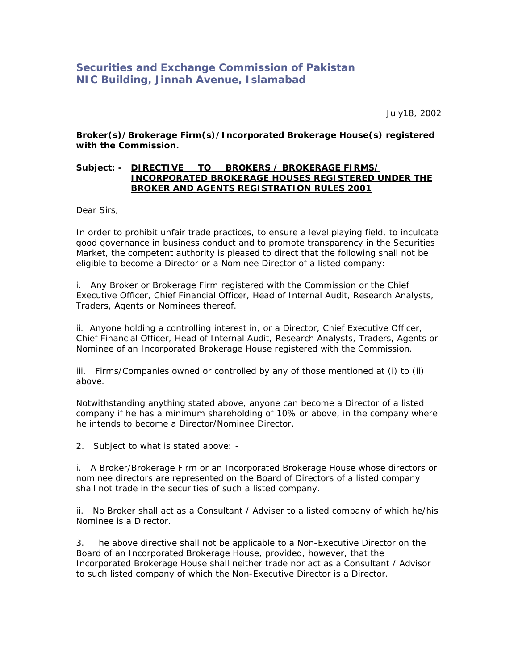## **Securities and Exchange Commission of Pakistan NIC Building, Jinnah Avenue, Islamabad**

July18, 2002

**Broker(s)/Brokerage Firm(s)/Incorporated Brokerage House(s) registered with the Commission.**

## **Subject: - DIRECTIVE TO BROKERS / BROKERAGE FIRMS/ INCORPORATED BROKERAGE HOUSES REGISTERED UNDER THE BROKER AND AGENTS REGISTRATION RULES 2001**

Dear Sirs,

In order to prohibit unfair trade practices, to ensure a level playing field, to inculcate good governance in business conduct and to promote transparency in the Securities Market, the competent authority is pleased to direct that the following shall not be eligible to become a Director or a Nominee Director of a listed company: -

i. Any Broker or Brokerage Firm registered with the Commission or the Chief Executive Officer, Chief Financial Officer, Head of Internal Audit, Research Analysts, Traders, Agents or Nominees thereof.

ii. Anyone holding a controlling interest in, or a Director, Chief Executive Officer, Chief Financial Officer, Head of Internal Audit, Research Analysts, Traders, Agents or Nominee of an Incorporated Brokerage House registered with the Commission.

iii. Firms/Companies owned or controlled by any of those mentioned at (i) to (ii) above.

Notwithstanding anything stated above, anyone can become a Director of a listed company if he has a minimum shareholding of 10% or above, in the company where he intends to become a Director/Nominee Director.

2. Subject to what is stated above: -

i. A Broker/Brokerage Firm or an Incorporated Brokerage House whose directors or nominee directors are represented on the Board of Directors of a listed company shall not trade in the securities of such a listed company.

ii. No Broker shall act as a Consultant / Adviser to a listed company of which he/his Nominee is a Director.

3. The above directive shall not be applicable to a Non-Executive Director on the Board of an Incorporated Brokerage House, provided, however, that the Incorporated Brokerage House shall neither trade nor act as a Consultant / Advisor to such listed company of which the Non-Executive Director is a Director.